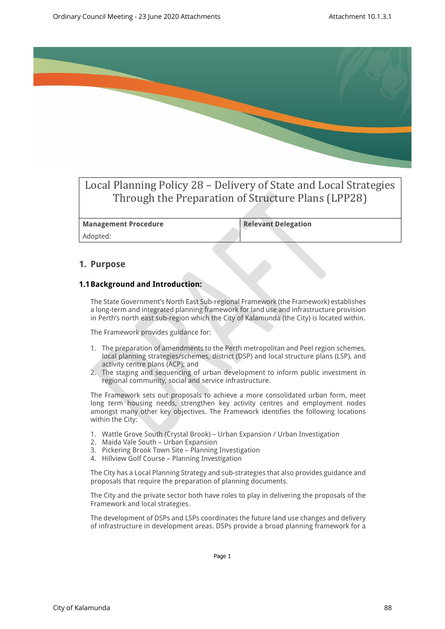

# Local Planning Policy 28 – Delivery of State and Local Strategies Through the Preparation of Structure Plans (LPP28)

**Management Procedure Relevant Delegation** Adopted:

### **1. Purpose**

#### **1.1Background and Introduction:**

The State Government's North East Sub-regional Framework (the Framework) establishes a long-term and integrated planning framework for land use and infrastructure provision in Perth's north east sub-region which the City of Kalamunda (the City) is located within.

The Framework provides guidance for:

- 1. The preparation of amendments to the Perth metropolitan and Peel region schemes, local planning strategies/schemes, district (DSP) and local structure plans (LSP), and activity centre plans (ACP); and
- 2. The staging and sequencing of urban development to inform public investment in regional community, social and service infrastructure.

The Framework sets out proposals to achieve a more consolidated urban form, meet long term housing needs, strengthen key activity centres and employment nodes amongst many other key objectives. The Framework identifies the following locations within the City:

- 1. Wattle Grove South (Crystal Brook) Urban Expansion / Urban Investigation
- 2. Maida Vale South Urban Expansion
- 3. Pickering Brook Town Site Planning Investigation
- 4. Hillview Golf Course Planning Investigation

The City has a Local Planning Strategy and sub-strategies that also provides guidance and proposals that require the preparation of planning documents.

The City and the private sector both have roles to play in delivering the proposals of the Framework and local strategies.

The development of DSPs and LSPs coordinates the future land use changes and delivery of infrastructure in development areas. DSPs provide a broad planning framework for a

Page 1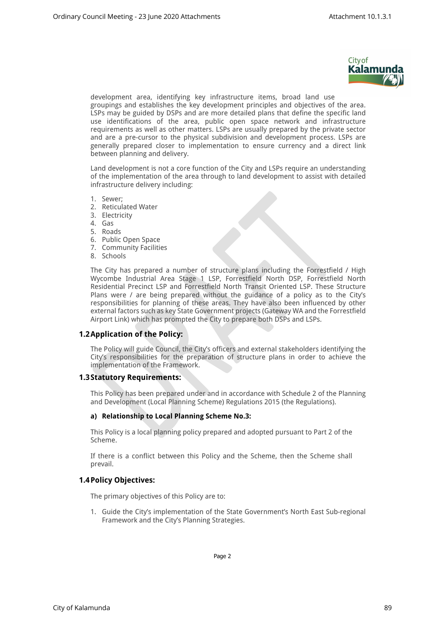

development area, identifying key infrastructure items, broad land use groupings and establishes the key development principles and objectives of the area. LSPs may be guided by DSPs and are more detailed plans that define the specific land use identifications of the area, public open space network and infrastructure requirements as well as other matters. LSPs are usually prepared by the private sector and are a pre-cursor to the physical subdivision and development process. LSPs are generally prepared closer to implementation to ensure currency and a direct link between planning and delivery.

Land development is not a core function of the City and LSPs require an understanding of the implementation of the area through to land development to assist with detailed infrastructure delivery including:

- 1. Sewer;
- 2. Reticulated Water
- 3. Electricity
- 4. Gas
- 5. Roads
- 6. Public Open Space
- 7. Community Facilities
- 8. Schools

The City has prepared a number of structure plans including the Forrestfield / High Wycombe Industrial Area Stage 1 LSP, Forrestfield North DSP, Forrestfield North Residential Precinct LSP and Forrestfield North Transit Oriented LSP. These Structure Plans were / are being prepared without the guidance of a policy as to the City's responsibilities for planning of these areas. They have also been influenced by other external factors such as key State Government projects (Gateway WA and the Forrestfield Airport Link) which has prompted the City to prepare both DSPs and LSPs.

#### **1.2Application of the Policy:**

The Policy will guide Council, the City's officers and external stakeholders identifying the City's responsibilities for the preparation of structure plans in order to achieve the implementation of the Framework.

#### **1.3Statutory Requirements:**

This Policy has been prepared under and in accordance with Schedule 2 of the Planning and Development (Local Planning Scheme) Regulations 2015 (the Regulations).

#### **a) Relationship to Local Planning Scheme No.3:**

This Policy is a local planning policy prepared and adopted pursuant to Part 2 of the Scheme.

If there is a conflict between this Policy and the Scheme, then the Scheme shall prevail.

#### **1.4Policy Objectives:**

The primary objectives of this Policy are to:

1. Guide the City's implementation of the State Government's North East Sub-regional Framework and the City's Planning Strategies.

Page 2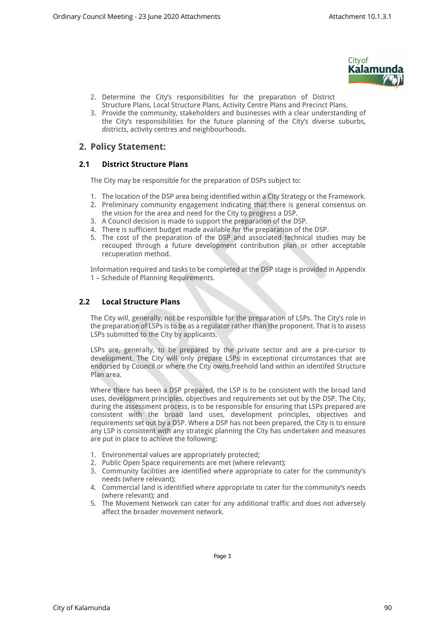

- 2. Determine the City's responsibilities for the preparation of District Structure Plans, Local Structure Plans, Activity Centre Plans and Precinct Plans.
- 3. Provide the community, stakeholders and businesses with a clear understanding of the City's responsibilities for the future planning of the City's diverse suburbs, districts, activity centres and neighbourhoods.

## **2. Policy Statement:**

#### **2.1 District Structure Plans**

The City may be responsible for the preparation of DSPs subject to:

- 1. The location of the DSP area being identified within a City Strategy or the Framework.
- 2. Preliminary community engagement indicating that there is general consensus on the vision for the area and need for the City to progress a DSP.
- 3. A Council decision is made to support the preparation of the DSP.
- 4. There is sufficient budget made available for the preparation of the DSP.
- 5. The cost of the preparation of the DSP and associated technical studies may be recouped through a future development contribution plan or other acceptable recuperation method.

Information required and tasks to be completed at the DSP stage is provided in Appendix 1 – Schedule of Planning Requirements.

#### **2.2 Local Structure Plans**

The City will, generally, not be responsible for the preparation of LSPs. The City's role in the preparation of LSPs is to be as a regulator rather than the proponent. That is to assess LSPs submitted to the City by applicants.

LSPs are, generally, to be prepared by the private sector and are a pre-cursor to development. The City will only prepare LSPs in exceptional circumstances that are endorsed by Council or where the City owns freehold land within an identifed Structure Plan area.

Where there has been a DSP prepared, the LSP is to be consistent with the broad land uses, development principles, objectives and requirements set out by the DSP. The City, during the assessment process, is to be responsible for ensuring that LSPs prepared are consistent with the broad land uses, development principles, objectives and requirements set out by a DSP. Where a DSP has not been prepared, the City is to ensure any LSP is consistent with any strategic planning the City has undertaken and measures are put in place to achieve the following:

- 1. Environmental values are appropriately protected;
- 2. Public Open Space requirements are met (where relevant);
- 3. Community facilities are identified where appropriate to cater for the community's needs (where relevant);
- 4. Commercial land is identified where appropriate to cater for the community's needs (where relevant); and
- 5. The Movement Network can cater for any additional traffic and does not adversely affect the broader movement network.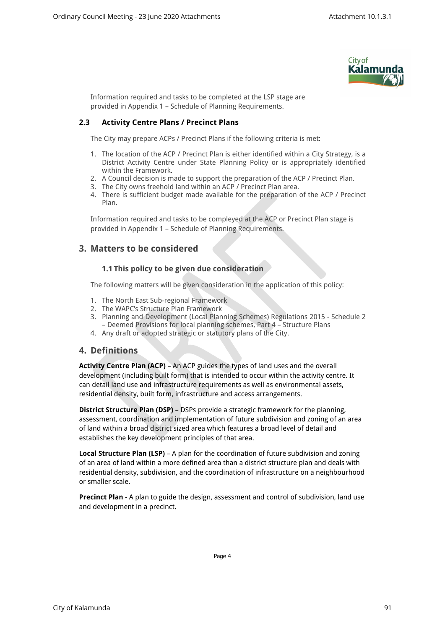

Information required and tasks to be completed at the LSP stage are provided in Appendix 1 – Schedule of Planning Requirements.

#### **2.3 Activity Centre Plans / Precinct Plans**

The City may prepare ACPs / Precinct Plans if the following criteria is met:

- 1. The location of the ACP / Precinct Plan is either identified within a City Strategy, is a District Activity Centre under State Planning Policy or is appropriately identified within the Framework.
- 2. A Council decision is made to support the preparation of the ACP / Precinct Plan.
- 3. The City owns freehold land within an ACP / Precinct Plan area.
- 4. There is sufficient budget made available for the preparation of the ACP / Precinct Plan.

Information required and tasks to be compleyed at the ACP or Precinct Plan stage is provided in Appendix 1 – Schedule of Planning Requirements.

## **3. Matters to be considered**

#### **1.1 This policy to be given due consideration**

The following matters will be given consideration in the application of this policy:

- 1. The North East Sub-regional Framework
- 2. The WAPC's Structure Plan Framework
- 3. Planning and Development (Local Planning Schemes) Regulations 2015 Schedule 2 – Deemed Provisions for local planning schemes, Part 4 – Structure Plans
- 4. Any draft or adopted strategic or statutory plans of the City.

### **4. Definitions**

**Activity Centre Plan (ACP)** – An ACP guides the types of land uses and the overall development (including built form) that is intended to occur within the activity centre. It can detail land use and infrastructure requirements as well as environmental assets, residential density, built form, infrastructure and access arrangements.

**District Structure Plan (DSP)** – DSPs provide a strategic framework for the planning, assessment, coordination and implementation of future subdivision and zoning of an area of land within a broad district sized area which features a broad level of detail and establishes the key development principles of that area.

**Local Structure Plan (LSP)** – A plan for the coordination of future subdivision and zoning of an area of land within a more defined area than a district structure plan and deals with residential density, subdivision, and the coordination of infrastructure on a neighbourhood or smaller scale.

**Precinct Plan** - A plan to guide the design, assessment and control of subdivision, land use and development in a precinct.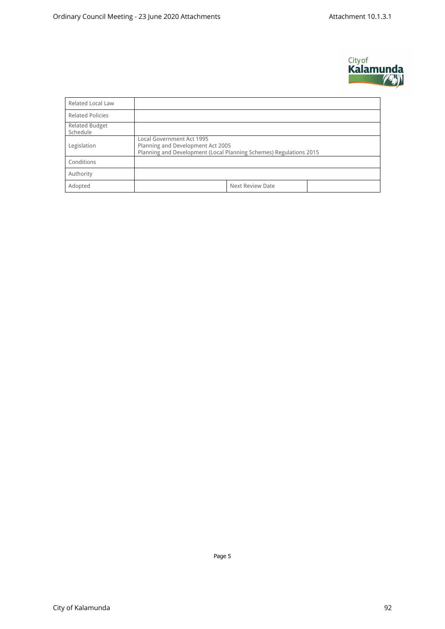

| <b>Related Local Law</b>          |                                                                                                                                      |  |  |  |  |  |
|-----------------------------------|--------------------------------------------------------------------------------------------------------------------------------------|--|--|--|--|--|
| <b>Related Policies</b>           |                                                                                                                                      |  |  |  |  |  |
| <b>Related Budget</b><br>Schedule |                                                                                                                                      |  |  |  |  |  |
| Legislation                       | Local Government Act 1995<br>Planning and Development Act 2005<br>Planning and Development (Local Planning Schemes) Regulations 2015 |  |  |  |  |  |
| Conditions                        |                                                                                                                                      |  |  |  |  |  |
| Authority                         |                                                                                                                                      |  |  |  |  |  |
| Adopted                           | Next Review Date                                                                                                                     |  |  |  |  |  |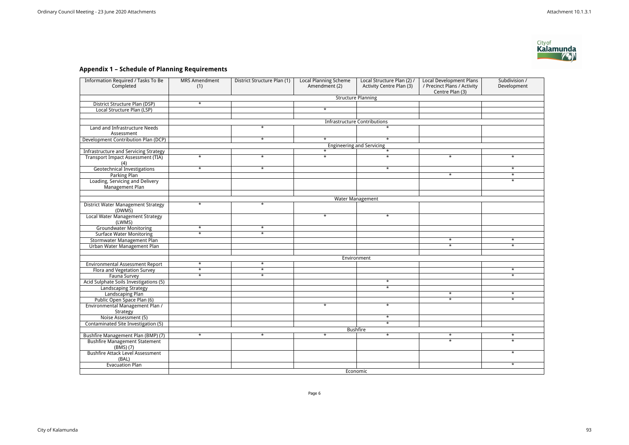# **Appendix 1 – Schedule of Planning Requirements**

| <b>Information Required / Tasks To Be</b>           | <b>MRS Amendment</b>             | District Structure Plan (1) | <b>Local Planning Scheme</b> | Local Structure Plan (2) /          | <b>Local Development Plans</b>                 | Subdivision / |  |  |  |
|-----------------------------------------------------|----------------------------------|-----------------------------|------------------------------|-------------------------------------|------------------------------------------------|---------------|--|--|--|
| Completed                                           | (1)                              |                             | Amendment (2)                | Activity Centre Plan (3)            | / Precinct Plans / Activity<br>Centre Plan (3) | Development   |  |  |  |
|                                                     | <b>Structure Planning</b>        |                             |                              |                                     |                                                |               |  |  |  |
| District Structure Plan (DSP)                       | $\star$                          |                             |                              |                                     |                                                |               |  |  |  |
| Local Structure Plan (LSP)                          |                                  |                             | $\star$                      |                                     |                                                |               |  |  |  |
|                                                     |                                  |                             |                              |                                     |                                                |               |  |  |  |
|                                                     |                                  |                             |                              | <b>Infrastructure Contributions</b> |                                                |               |  |  |  |
| Land and Infrastructure Needs                       |                                  | $\star$                     |                              | $\star$                             |                                                |               |  |  |  |
| Assessment                                          |                                  |                             |                              |                                     |                                                |               |  |  |  |
| Development Contribution Plan (DCP)                 |                                  | $\star$                     | $\star$                      | $\star$                             |                                                |               |  |  |  |
|                                                     | <b>Engineering and Servicing</b> |                             |                              |                                     |                                                |               |  |  |  |
| <b>Infrastructure and Servicing Strategy</b>        |                                  |                             | $\star$                      | $\star$                             |                                                |               |  |  |  |
| <b>Transport Impact Assessment (TIA)</b><br>(4)     | $\star$                          | $\star$                     | $\star$                      | $\star$                             | $\star$                                        | $\star$       |  |  |  |
| <b>Geotechnical Investigations</b>                  | $\star$                          | $\star$                     |                              | $\star$                             |                                                | $\star$       |  |  |  |
| <b>Parking Plan</b>                                 |                                  |                             |                              |                                     | $\overline{\ast}$                              | $\star$       |  |  |  |
| Loading, Servicing and Delivery<br>Management Plan  |                                  |                             |                              |                                     |                                                | $\star$       |  |  |  |
|                                                     |                                  |                             |                              |                                     |                                                |               |  |  |  |
|                                                     | Water Management                 |                             |                              |                                     |                                                |               |  |  |  |
| <b>District Water Management Strategy</b><br>(DWMS) | $\star$                          | $\star$                     |                              |                                     |                                                |               |  |  |  |
| <b>Local Water Management Strategy</b><br>(LWMS)    |                                  |                             | $\star$                      | $\star$                             |                                                |               |  |  |  |
| <b>Groundwater Monitoring</b>                       | $\star$                          | $\star$                     |                              |                                     |                                                |               |  |  |  |
| <b>Surface Water Monitoring</b>                     | $\star$                          | $\star$                     |                              |                                     |                                                |               |  |  |  |
| Stormwater Management Plan                          |                                  |                             |                              |                                     | $\star$                                        | $\star$       |  |  |  |
| Urban Water Management Plan                         |                                  |                             |                              |                                     | $\star$                                        | $\star$       |  |  |  |
|                                                     |                                  |                             |                              |                                     |                                                |               |  |  |  |
|                                                     |                                  |                             |                              | Environment                         |                                                |               |  |  |  |
| <b>Environmental Assessment Report</b>              | $\star$                          | $\star$                     |                              |                                     |                                                |               |  |  |  |
| Flora and Vegetation Survey                         | $\star$                          | $\ast$                      |                              |                                     |                                                | $\star$       |  |  |  |
| Fauna Survey                                        | $\star$                          | $\star$                     |                              |                                     |                                                | $\star$       |  |  |  |
| Acid Sulphate Soils Investigations (5)              |                                  |                             |                              | $\star$                             |                                                |               |  |  |  |
| <b>Landscaping Strategy</b>                         |                                  |                             |                              | $\star$                             |                                                |               |  |  |  |
| Landscaping Plan                                    |                                  |                             |                              |                                     | $\star$                                        | $\star$       |  |  |  |
| Public Open Space Plan (6)                          |                                  |                             |                              |                                     | $\star$                                        | $\star$       |  |  |  |
| Environmental Management Plan /<br>Strategy         |                                  |                             | $\star$                      | $\star$                             |                                                |               |  |  |  |
| Noise Assessment (5)                                |                                  |                             |                              | $\star$                             |                                                |               |  |  |  |
| Contaminated Site Investigation (5)                 |                                  |                             |                              | $\star$                             |                                                |               |  |  |  |
|                                                     | <b>Bushfire</b>                  |                             |                              |                                     |                                                |               |  |  |  |
| Bushfire Management Plan (BMP) (7)                  | $\star$                          | $\star$                     | $\star$                      | $\star$                             | $\star$                                        | $\star$       |  |  |  |
| <b>Bushfire Management Statement</b><br>(BMS) (7)   |                                  |                             |                              |                                     | $\overline{\ast}$                              | $\star$       |  |  |  |
| <b>Bushfire Attack Level Assessment</b><br>(BAL)    |                                  |                             |                              |                                     |                                                | $\star$       |  |  |  |
| <b>Evacuation Plan</b>                              |                                  |                             |                              |                                     |                                                | $\star$       |  |  |  |
|                                                     | Economic                         |                             |                              |                                     |                                                |               |  |  |  |